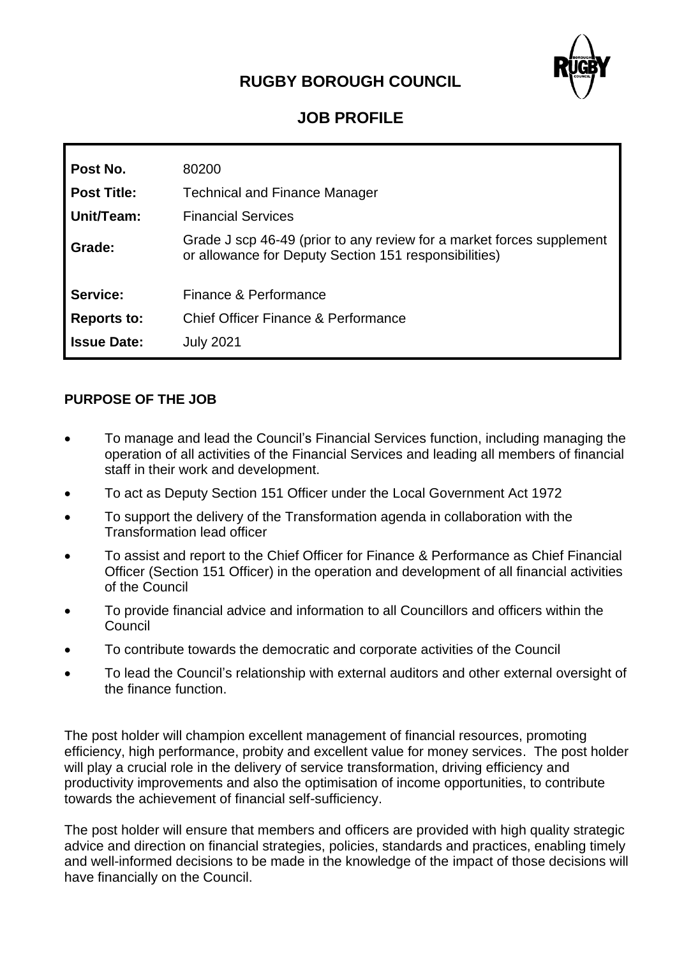# **RUGBY BOROUGH COUNCIL**



## **JOB PROFILE**

| Post No.           | 80200                                                                                                                          |
|--------------------|--------------------------------------------------------------------------------------------------------------------------------|
| <b>Post Title:</b> | <b>Technical and Finance Manager</b>                                                                                           |
| Unit/Team:         | <b>Financial Services</b>                                                                                                      |
| Grade:             | Grade J scp 46-49 (prior to any review for a market forces supplement<br>or allowance for Deputy Section 151 responsibilities) |
| Service:           | Finance & Performance                                                                                                          |
| <b>Reports to:</b> | Chief Officer Finance & Performance                                                                                            |
| <b>Issue Date:</b> | <b>July 2021</b>                                                                                                               |

#### **PURPOSE OF THE JOB**

- To manage and lead the Council's Financial Services function, including managing the operation of all activities of the Financial Services and leading all members of financial staff in their work and development.
- To act as Deputy Section 151 Officer under the Local Government Act 1972
- To support the delivery of the Transformation agenda in collaboration with the Transformation lead officer
- To assist and report to the Chief Officer for Finance & Performance as Chief Financial Officer (Section 151 Officer) in the operation and development of all financial activities of the Council
- To provide financial advice and information to all Councillors and officers within the Council
- To contribute towards the democratic and corporate activities of the Council
- To lead the Council's relationship with external auditors and other external oversight of the finance function.

The post holder will champion excellent management of financial resources, promoting efficiency, high performance, probity and excellent value for money services. The post holder will play a crucial role in the delivery of service transformation, driving efficiency and productivity improvements and also the optimisation of income opportunities, to contribute towards the achievement of financial self-sufficiency.

The post holder will ensure that members and officers are provided with high quality strategic advice and direction on financial strategies, policies, standards and practices, enabling timely and well-informed decisions to be made in the knowledge of the impact of those decisions will have financially on the Council.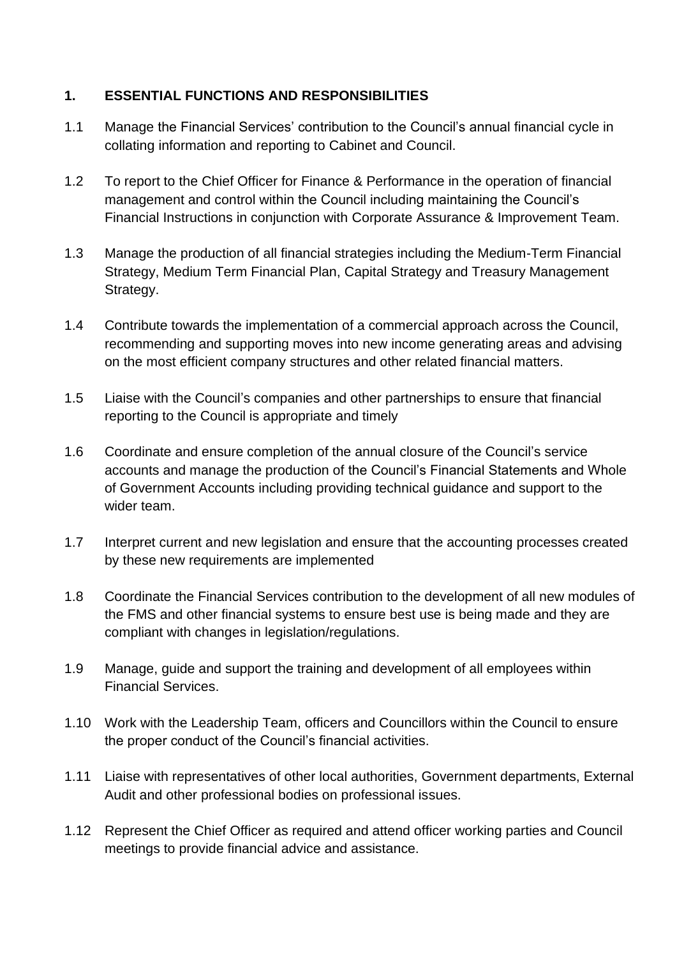#### **1. ESSENTIAL FUNCTIONS AND RESPONSIBILITIES**

- 1.1 Manage the Financial Services' contribution to the Council's annual financial cycle in collating information and reporting to Cabinet and Council.
- 1.2 To report to the Chief Officer for Finance & Performance in the operation of financial management and control within the Council including maintaining the Council's Financial Instructions in conjunction with Corporate Assurance & Improvement Team.
- 1.3 Manage the production of all financial strategies including the Medium-Term Financial Strategy, Medium Term Financial Plan, Capital Strategy and Treasury Management Strategy.
- 1.4 Contribute towards the implementation of a commercial approach across the Council, recommending and supporting moves into new income generating areas and advising on the most efficient company structures and other related financial matters.
- 1.5 Liaise with the Council's companies and other partnerships to ensure that financial reporting to the Council is appropriate and timely
- 1.6 Coordinate and ensure completion of the annual closure of the Council's service accounts and manage the production of the Council's Financial Statements and Whole of Government Accounts including providing technical guidance and support to the wider team.
- 1.7 Interpret current and new legislation and ensure that the accounting processes created by these new requirements are implemented
- 1.8 Coordinate the Financial Services contribution to the development of all new modules of the FMS and other financial systems to ensure best use is being made and they are compliant with changes in legislation/regulations.
- 1.9 Manage, guide and support the training and development of all employees within Financial Services.
- 1.10 Work with the Leadership Team, officers and Councillors within the Council to ensure the proper conduct of the Council's financial activities.
- 1.11 Liaise with representatives of other local authorities, Government departments, External Audit and other professional bodies on professional issues.
- 1.12 Represent the Chief Officer as required and attend officer working parties and Council meetings to provide financial advice and assistance.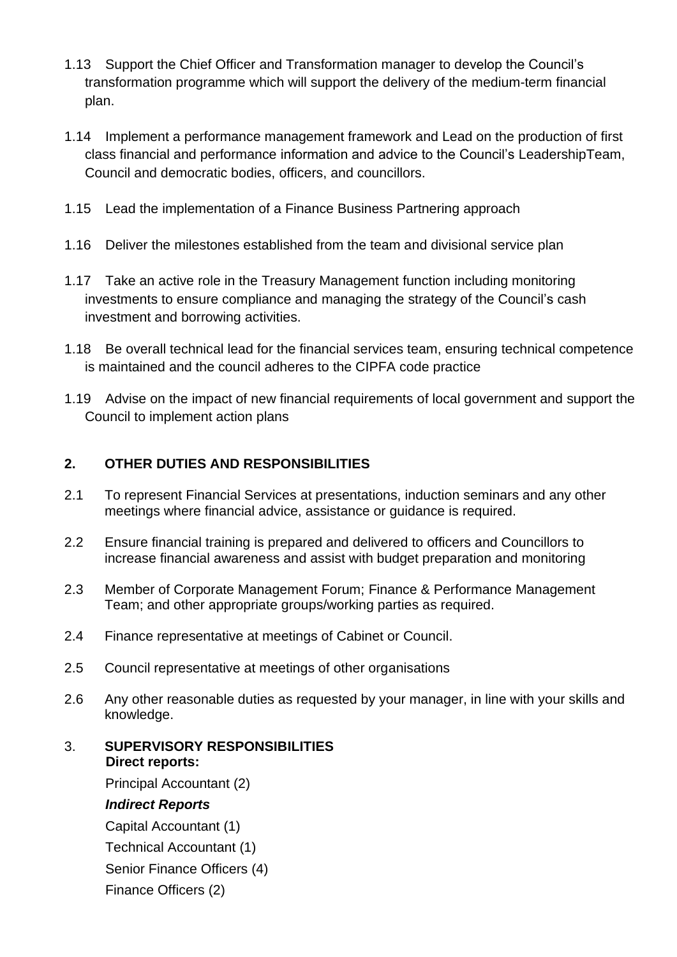- 1.13 Support the Chief Officer and Transformation manager to develop the Council's transformation programme which will support the delivery of the medium-term financial plan.
- 1.14 Implement a performance management framework and Lead on the production of first class financial and performance information and advice to the Council's LeadershipTeam, Council and democratic bodies, officers, and councillors.
- 1.15 Lead the implementation of a Finance Business Partnering approach
- 1.16 Deliver the milestones established from the team and divisional service plan
- 1.17 Take an active role in the Treasury Management function including monitoring investments to ensure compliance and managing the strategy of the Council's cash investment and borrowing activities.
- 1.18 Be overall technical lead for the financial services team, ensuring technical competence is maintained and the council adheres to the CIPFA code practice
- 1.19 Advise on the impact of new financial requirements of local government and support the Council to implement action plans

#### **2. OTHER DUTIES AND RESPONSIBILITIES**

- 2.1 To represent Financial Services at presentations, induction seminars and any other meetings where financial advice, assistance or guidance is required.
- 2.2 Ensure financial training is prepared and delivered to officers and Councillors to increase financial awareness and assist with budget preparation and monitoring
- 2.3 Member of Corporate Management Forum; Finance & Performance Management Team; and other appropriate groups/working parties as required.
- 2.4 Finance representative at meetings of Cabinet or Council.
- 2.5 Council representative at meetings of other organisations
- 2.6 Any other reasonable duties as requested by your manager, in line with your skills and knowledge.

#### 3. **SUPERVISORY RESPONSIBILITIES Direct reports:**

Principal Accountant (2)

#### *Indirect Reports*

Capital Accountant (1)

- Technical Accountant (1)
- Senior Finance Officers (4)
- Finance Officers (2)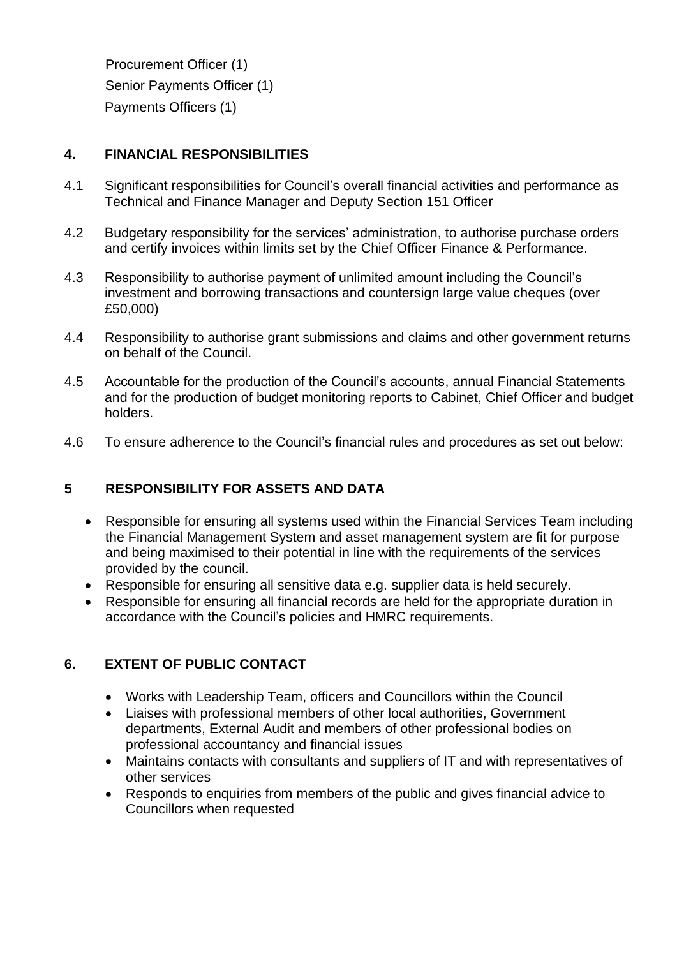Procurement Officer (1) Senior Payments Officer (1) Payments Officers (1)

## **4. FINANCIAL RESPONSIBILITIES**

- 4.1 Significant responsibilities for Council's overall financial activities and performance as Technical and Finance Manager and Deputy Section 151 Officer
- 4.2 Budgetary responsibility for the services' administration, to authorise purchase orders and certify invoices within limits set by the Chief Officer Finance & Performance.
- 4.3 Responsibility to authorise payment of unlimited amount including the Council's investment and borrowing transactions and countersign large value cheques (over £50,000)
- 4.4 Responsibility to authorise grant submissions and claims and other government returns on behalf of the Council.
- 4.5 Accountable for the production of the Council's accounts, annual Financial Statements and for the production of budget monitoring reports to Cabinet, Chief Officer and budget holders.
- 4.6 To ensure adherence to the Council's financial rules and procedures as set out below:

#### **5 RESPONSIBILITY FOR ASSETS AND DATA**

- Responsible for ensuring all systems used within the Financial Services Team including the Financial Management System and asset management system are fit for purpose and being maximised to their potential in line with the requirements of the services provided by the council.
- Responsible for ensuring all sensitive data e.g. supplier data is held securely.
- Responsible for ensuring all financial records are held for the appropriate duration in accordance with the Council's policies and HMRC requirements.

## **6. EXTENT OF PUBLIC CONTACT**

- Works with Leadership Team, officers and Councillors within the Council
- Liaises with professional members of other local authorities, Government departments, External Audit and members of other professional bodies on professional accountancy and financial issues
- Maintains contacts with consultants and suppliers of IT and with representatives of other services
- Responds to enquiries from members of the public and gives financial advice to Councillors when requested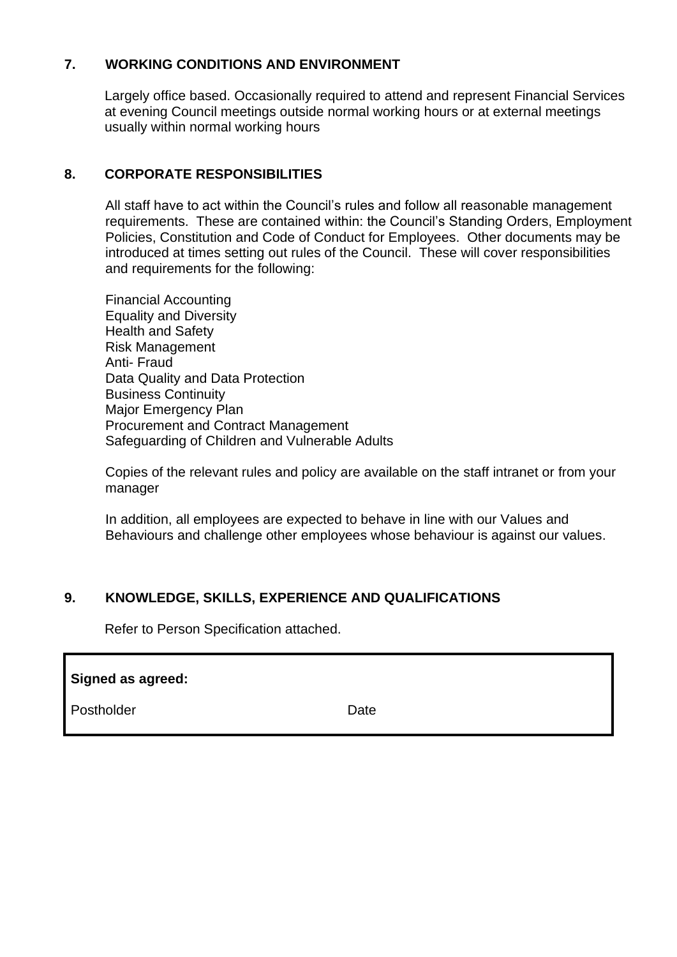#### **7. WORKING CONDITIONS AND ENVIRONMENT**

Largely office based. Occasionally required to attend and represent Financial Services at evening Council meetings outside normal working hours or at external meetings usually within normal working hours

#### **8. CORPORATE RESPONSIBILITIES**

All staff have to act within the Council's rules and follow all reasonable management requirements. These are contained within: the Council's Standing Orders, Employment Policies, Constitution and Code of Conduct for Employees. Other documents may be introduced at times setting out rules of the Council. These will cover responsibilities and requirements for the following:

Financial Accounting Equality and Diversity Health and Safety Risk Management Anti- Fraud Data Quality and Data Protection Business Continuity Major Emergency Plan Procurement and Contract Management Safeguarding of Children and Vulnerable Adults

Copies of the relevant rules and policy are available on the staff intranet or from your manager

In addition, all employees are expected to behave in line with our Values and Behaviours and challenge other employees whose behaviour is against our values.

#### **9. KNOWLEDGE, SKILLS, EXPERIENCE AND QUALIFICATIONS**

Refer to Person Specification attached.

| <b>Signed as agreed:</b> |      |
|--------------------------|------|
| Postholder               | Date |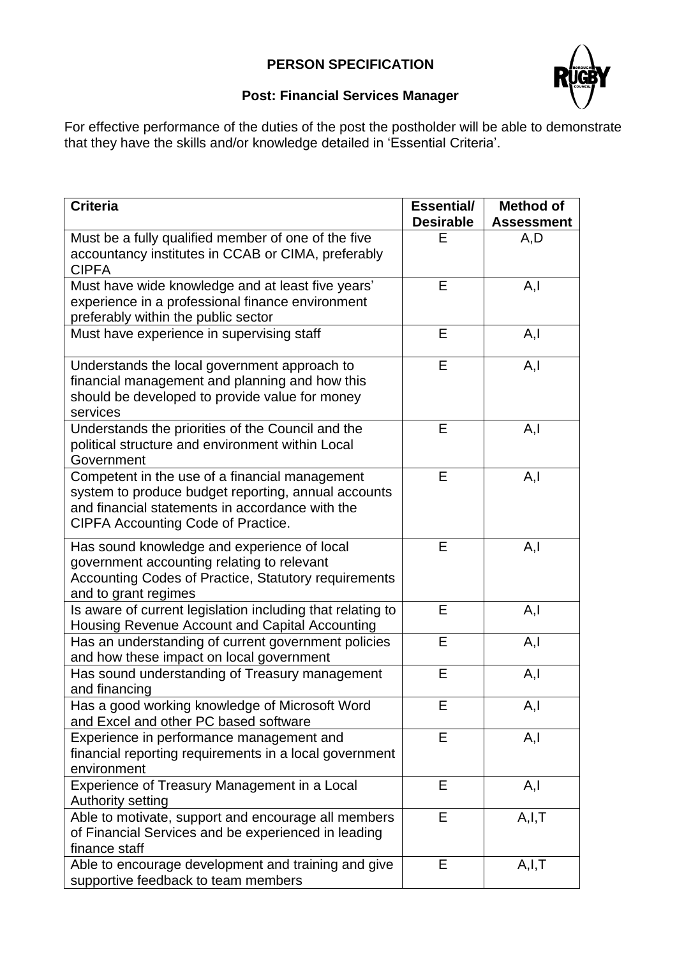## **PERSON SPECIFICATION**



## **Post: Financial Services Manager**

For effective performance of the duties of the post the postholder will be able to demonstrate that they have the skills and/or knowledge detailed in 'Essential Criteria'.

| <b>Criteria</b>                                                                                                                                                                                | <b>Essential/</b><br><b>Desirable</b> | <b>Method of</b><br><b>Assessment</b> |
|------------------------------------------------------------------------------------------------------------------------------------------------------------------------------------------------|---------------------------------------|---------------------------------------|
| Must be a fully qualified member of one of the five<br>accountancy institutes in CCAB or CIMA, preferably<br><b>CIPFA</b>                                                                      | E                                     | A,D                                   |
| Must have wide knowledge and at least five years'<br>experience in a professional finance environment<br>preferably within the public sector                                                   | Е                                     | A,l                                   |
| Must have experience in supervising staff                                                                                                                                                      | E                                     | A, I                                  |
| Understands the local government approach to<br>financial management and planning and how this<br>should be developed to provide value for money<br>services                                   | E                                     | A, I                                  |
| Understands the priorities of the Council and the<br>political structure and environment within Local<br>Government                                                                            | E                                     | A, I                                  |
| Competent in the use of a financial management<br>system to produce budget reporting, annual accounts<br>and financial statements in accordance with the<br>CIPFA Accounting Code of Practice. | E                                     | A,l                                   |
| Has sound knowledge and experience of local<br>government accounting relating to relevant<br>Accounting Codes of Practice, Statutory requirements<br>and to grant regimes                      | Е                                     | A,l                                   |
| Is aware of current legislation including that relating to<br>Housing Revenue Account and Capital Accounting                                                                                   | E                                     | A, I                                  |
| Has an understanding of current government policies<br>and how these impact on local government                                                                                                | E                                     | A, I                                  |
| Has sound understanding of Treasury management<br>and financing                                                                                                                                | E                                     | A, I                                  |
| Has a good working knowledge of Microsoft Word<br>and Excel and other PC based software                                                                                                        | E                                     | A,I                                   |
| Experience in performance management and<br>financial reporting requirements in a local government<br>environment                                                                              | Е                                     | A,I                                   |
| Experience of Treasury Management in a Local<br>Authority setting                                                                                                                              | Е                                     | A, I                                  |
| Able to motivate, support and encourage all members<br>of Financial Services and be experienced in leading<br>finance staff                                                                    | E                                     | A, I, T                               |
| Able to encourage development and training and give<br>supportive feedback to team members                                                                                                     | E                                     | A, I, T                               |